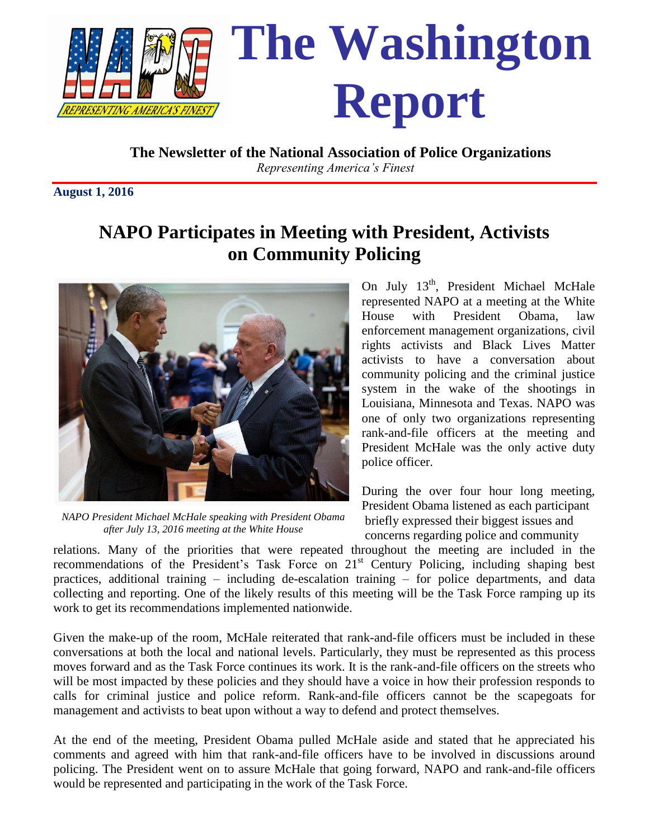

 **The Newsletter of the National Association of Police Organizations** *Representing America's Finest*

**August 1, 2016**

# **NAPO Participates in Meeting with President, Activists on Community Policing**



*NAPO President Michael McHale speaking with President Obama after July 13, 2016 meeting at the White House*

On July 13<sup>th</sup>, President Michael McHale represented NAPO at a meeting at the White House with President Obama, law enforcement management organizations, civil rights activists and Black Lives Matter activists to have a conversation about community policing and the criminal justice system in the wake of the shootings in Louisiana, Minnesota and Texas. NAPO was one of only two organizations representing rank-and-file officers at the meeting and President McHale was the only active duty police officer.

During the over four hour long meeting, President Obama listened as each participant briefly expressed their biggest issues and concerns regarding police and community

relations. Many of the priorities that were repeated throughout the meeting are included in the recommendations of the President's Task Force on 21<sup>st</sup> Century Policing, including shaping best practices, additional training – including de-escalation training – for police departments, and data collecting and reporting. One of the likely results of this meeting will be the Task Force ramping up its work to get its recommendations implemented nationwide.

Given the make-up of the room, McHale reiterated that rank-and-file officers must be included in these conversations at both the local and national levels. Particularly, they must be represented as this process moves forward and as the Task Force continues its work. It is the rank-and-file officers on the streets who will be most impacted by these policies and they should have a voice in how their profession responds to calls for criminal justice and police reform. Rank-and-file officers cannot be the scapegoats for management and activists to beat upon without a way to defend and protect themselves.

At the end of the meeting, President Obama pulled McHale aside and stated that he appreciated his comments and agreed with him that rank-and-file officers have to be involved in discussions around policing. The President went on to assure McHale that going forward, NAPO and rank-and-file officers would be represented and participating in the work of the Task Force.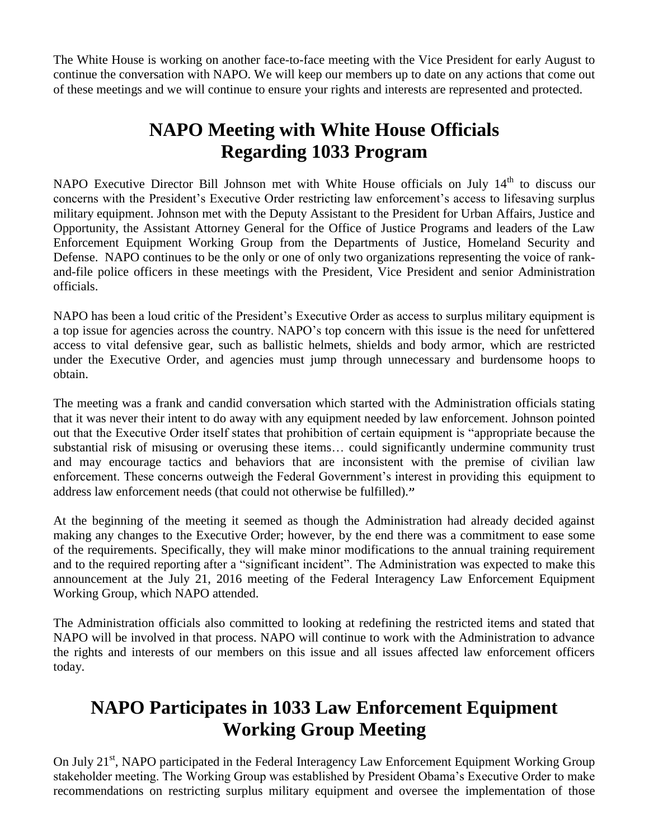The White House is working on another face-to-face meeting with the Vice President for early August to continue the conversation with NAPO. We will keep our members up to date on any actions that come out of these meetings and we will continue to ensure your rights and interests are represented and protected.

# **NAPO Meeting with White House Officials Regarding 1033 Program**

NAPO Executive Director Bill Johnson met with White House officials on July 14<sup>th</sup> to discuss our concerns with the President's Executive Order restricting law enforcement's access to lifesaving surplus military equipment. Johnson met with the Deputy Assistant to the President for Urban Affairs, Justice and Opportunity, the Assistant Attorney General for the Office of Justice Programs and leaders of the Law Enforcement Equipment Working Group from the Departments of Justice, Homeland Security and Defense. NAPO continues to be the only or one of only two organizations representing the voice of rankand-file police officers in these meetings with the President, Vice President and senior Administration officials.

NAPO has been a loud critic of the President's Executive Order as access to surplus military equipment is a top issue for agencies across the country. NAPO's top concern with this issue is the need for unfettered access to vital defensive gear, such as ballistic helmets, shields and body armor, which are restricted under the Executive Order, and agencies must jump through unnecessary and burdensome hoops to obtain.

The meeting was a frank and candid conversation which started with the Administration officials stating that it was never their intent to do away with any equipment needed by law enforcement. Johnson pointed out that the Executive Order itself states that prohibition of certain equipment is "appropriate because the substantial risk of misusing or overusing these items… could significantly undermine community trust and may encourage tactics and behaviors that are inconsistent with the premise of civilian law enforcement. These concerns outweigh the Federal Government's interest in providing this equipment to address law enforcement needs (that could not otherwise be fulfilled)."

At the beginning of the meeting it seemed as though the Administration had already decided against making any changes to the Executive Order; however, by the end there was a commitment to ease some of the requirements. Specifically, they will make minor modifications to the annual training requirement and to the required reporting after a "significant incident". The Administration was expected to make this announcement at the July 21, 2016 meeting of the Federal Interagency Law Enforcement Equipment Working Group, which NAPO attended.

The Administration officials also committed to looking at redefining the restricted items and stated that NAPO will be involved in that process. NAPO will continue to work with the Administration to advance the rights and interests of our members on this issue and all issues affected law enforcement officers today.

# **NAPO Participates in 1033 Law Enforcement Equipment Working Group Meeting**

On July 21<sup>st</sup>, NAPO participated in the Federal Interagency Law Enforcement Equipment Working Group stakeholder meeting. The Working Group was established by President Obama's Executive Order to make recommendations on restricting surplus military equipment and oversee the implementation of those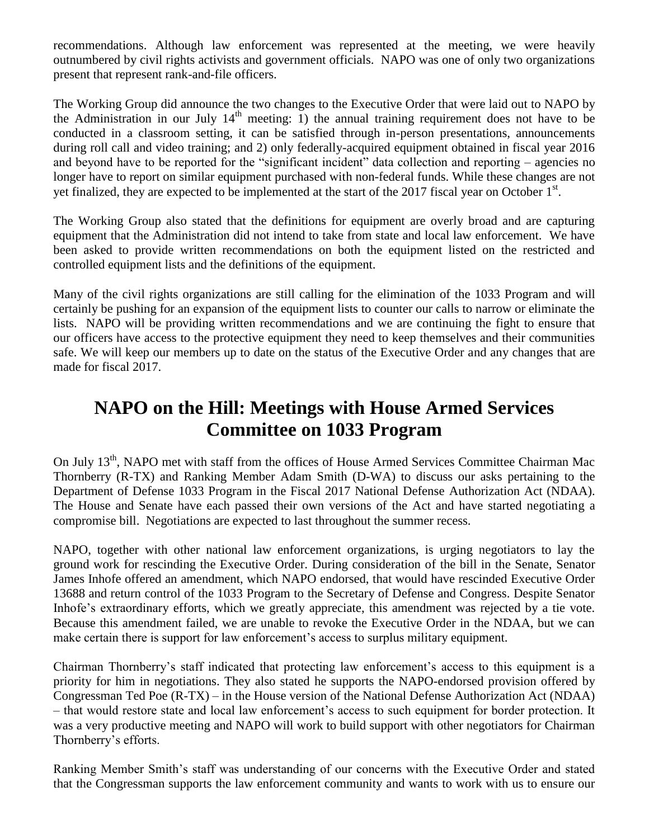recommendations. Although law enforcement was represented at the meeting, we were heavily outnumbered by civil rights activists and government officials. NAPO was one of only two organizations present that represent rank-and-file officers.

The Working Group did announce the two changes to the Executive Order that were laid out to NAPO by the Administration in our July  $14<sup>th</sup>$  meeting: 1) the annual training requirement does not have to be conducted in a classroom setting, it can be satisfied through in-person presentations, announcements during roll call and video training; and 2) only federally-acquired equipment obtained in fiscal year 2016 and beyond have to be reported for the "significant incident" data collection and reporting – agencies no longer have to report on similar equipment purchased with non-federal funds. While these changes are not yet finalized, they are expected to be implemented at the start of the 2017 fiscal year on October 1<sup>st</sup>.

The Working Group also stated that the definitions for equipment are overly broad and are capturing equipment that the Administration did not intend to take from state and local law enforcement. We have been asked to provide written recommendations on both the equipment listed on the restricted and controlled equipment lists and the definitions of the equipment.

Many of the civil rights organizations are still calling for the elimination of the 1033 Program and will certainly be pushing for an expansion of the equipment lists to counter our calls to narrow or eliminate the lists. NAPO will be providing written recommendations and we are continuing the fight to ensure that our officers have access to the protective equipment they need to keep themselves and their communities safe. We will keep our members up to date on the status of the Executive Order and any changes that are made for fiscal 2017.

### **NAPO on the Hill: Meetings with House Armed Services Committee on 1033 Program**

On July 13<sup>th</sup>, NAPO met with staff from the offices of House Armed Services Committee Chairman Mac Thornberry (R-TX) and Ranking Member Adam Smith (D-WA) to discuss our asks pertaining to the Department of Defense 1033 Program in the Fiscal 2017 National Defense Authorization Act (NDAA). The House and Senate have each passed their own versions of the Act and have started negotiating a compromise bill. Negotiations are expected to last throughout the summer recess.

NAPO, together with other national law enforcement organizations, is urging negotiators to lay the ground work for rescinding the Executive Order. During consideration of the bill in the Senate, Senator James Inhofe offered an amendment, which NAPO endorsed, that would have rescinded Executive Order 13688 and return control of the 1033 Program to the Secretary of Defense and Congress. Despite Senator Inhofe's extraordinary efforts, which we greatly appreciate, this amendment was rejected by a tie vote. Because this amendment failed, we are unable to revoke the Executive Order in the NDAA, but we can make certain there is support for law enforcement's access to surplus military equipment.

Chairman Thornberry's staff indicated that protecting law enforcement's access to this equipment is a priority for him in negotiations. They also stated he supports the NAPO-endorsed provision offered by Congressman Ted Poe (R-TX) – in the House version of the National Defense Authorization Act (NDAA) – that would restore state and local law enforcement's access to such equipment for border protection. It was a very productive meeting and NAPO will work to build support with other negotiators for Chairman Thornberry's efforts.

Ranking Member Smith's staff was understanding of our concerns with the Executive Order and stated that the Congressman supports the law enforcement community and wants to work with us to ensure our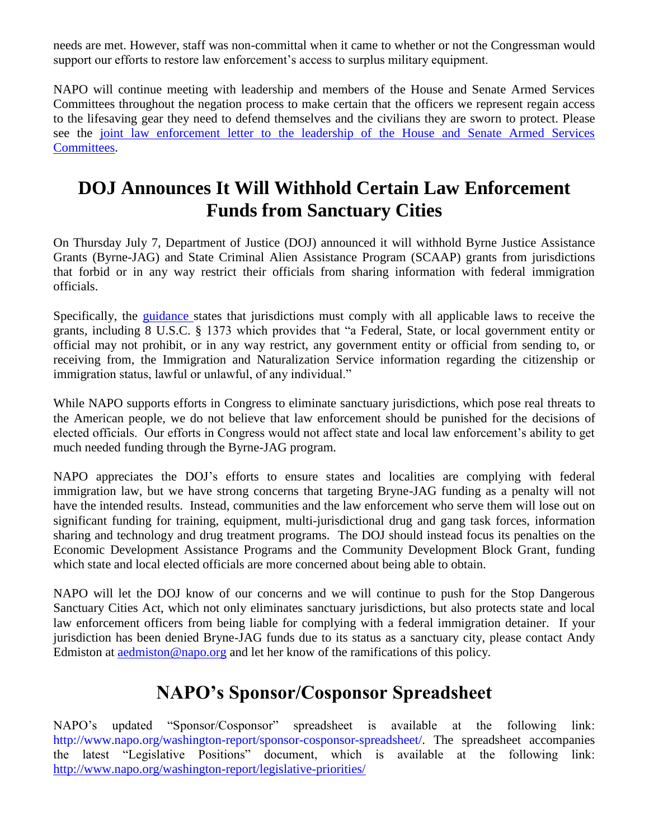needs are met. However, staff was non-committal when it came to whether or not the Congressman would support our efforts to restore law enforcement's access to surplus military equipment.

NAPO will continue meeting with leadership and members of the House and Senate Armed Services Committees throughout the negation process to make certain that the officers we represent regain access to the lifesaving gear they need to defend themselves and the civilians they are sworn to protect. Please see the [joint law enforcement letter to the leadership of the House and Senate Armed Services](file://napo-2k12/Share/AEdmiston/114th%20Congress/1033/Joint%20LEO%20Ltr_NDAA%20Conference%20Report.pdf)  [Committees.](file://napo-2k12/Share/AEdmiston/114th%20Congress/1033/Joint%20LEO%20Ltr_NDAA%20Conference%20Report.pdf)

# **DOJ Announces It Will Withhold Certain Law Enforcement Funds from Sanctuary Cities**

On Thursday July 7, Department of Justice (DOJ) announced it will withhold Byrne Justice Assistance Grants (Byrne-JAG) and State Criminal Alien Assistance Program (SCAAP) grants from jurisdictions that forbid or in any way restrict their officials from sharing information with federal immigration officials.

Specifically, the [guidance s](../../DOJ/DOJ%20Letter%20&%20Guidance_Withholding%20Funds%20from%20Sanctuary%20Cities_7.7.2016.pdf)tates that jurisdictions must comply with all applicable laws to receive the grants, including 8 U.S.C. § 1373 which provides that "a Federal, State, or local government entity or official may not prohibit, or in any way restrict, any government entity or official from sending to, or receiving from, the Immigration and Naturalization Service information regarding the citizenship or immigration status, lawful or unlawful, of any individual."

While NAPO supports efforts in Congress to eliminate sanctuary jurisdictions, which pose real threats to the American people, we do not believe that law enforcement should be punished for the decisions of elected officials. Our efforts in Congress would not affect state and local law enforcement's ability to get much needed funding through the Byrne-JAG program.

NAPO appreciates the DOJ's efforts to ensure states and localities are complying with federal immigration law, but we have strong concerns that targeting Bryne-JAG funding as a penalty will not have the intended results. Instead, communities and the law enforcement who serve them will lose out on significant funding for training, equipment, multi-jurisdictional drug and gang task forces, information sharing and technology and drug treatment programs. The DOJ should instead focus its penalties on the Economic Development Assistance Programs and the Community Development Block Grant, funding which state and local elected officials are more concerned about being able to obtain.

NAPO will let the DOJ know of our concerns and we will continue to push for the Stop Dangerous Sanctuary Cities Act, which not only eliminates sanctuary jurisdictions, but also protects state and local law enforcement officers from being liable for complying with a federal immigration detainer. If your jurisdiction has been denied Bryne-JAG funds due to its status as a sanctuary city, please contact Andy Edmiston at **and accommodation** @napo.org and let her know of the ramifications of this policy.

# **NAPO's Sponsor/Cosponsor Spreadsheet**

NAPO's updated "Sponsor/Cosponsor" spreadsheet is available at the following link: http://www.napo.org/washington-report/sponsor-cosponsor-spreadsheet/. The spreadsheet accompanies the latest "Legislative Positions" document, which is available at the following link: <http://www.napo.org/washington-report/legislative-priorities/>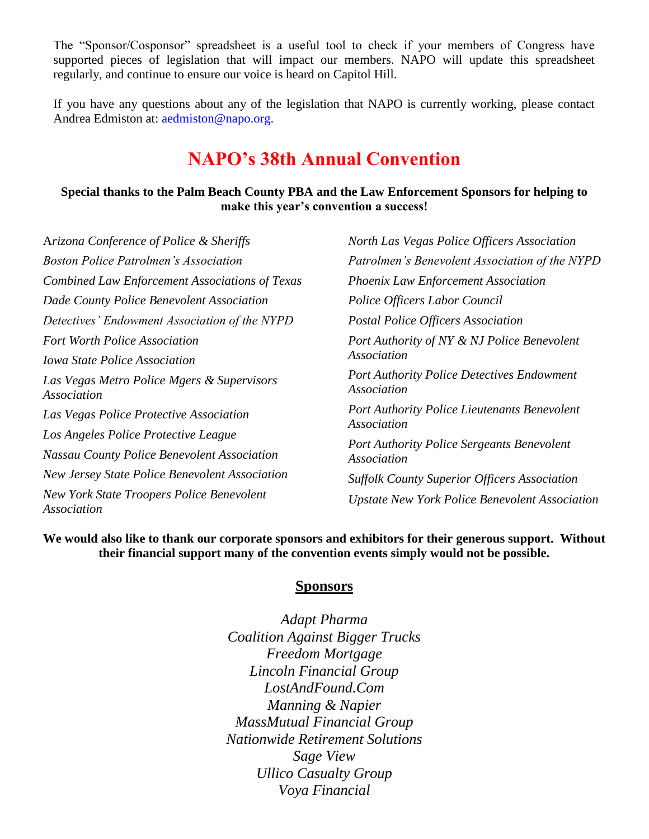The "Sponsor/Cosponsor" spreadsheet is a useful tool to check if your members of Congress have supported pieces of legislation that will impact our members. NAPO will update this spreadsheet regularly, and continue to ensure our voice is heard on Capitol Hill.

If you have any questions about any of the legislation that NAPO is currently working, please contact Andrea Edmiston at: aedmiston@napo.org.

### **NAPO's 38th Annual Convention**

#### **Special thanks to the Palm Beach County PBA and the Law Enforcement Sponsors for helping to make this year's convention a success!**

A*rizona Conference of Police & Sheriffs Boston Police Patrolmen's Association Combined Law Enforcement Associations of Texas Dade County Police Benevolent Association Detectives' Endowment Association of the NYPD Fort Worth Police Association Iowa State Police Association Las Vegas Metro Police Mgers & Supervisors Association Las Vegas Police Protective Association Los Angeles Police Protective League Nassau County Police Benevolent Association New Jersey State Police Benevolent Association New York State Troopers Police Benevolent Association*

*North Las Vegas Police Officers Association Patrolmen's Benevolent Association of the NYPD Phoenix Law Enforcement Association Police Officers Labor Council Postal Police Officers Association Port Authority of NY & NJ Police Benevolent Association Port Authority Police Detectives Endowment Association Port Authority Police Lieutenants Benevolent Association Port Authority Police Sergeants Benevolent Association Suffolk County Superior Officers Association Upstate New York Police Benevolent Association*

**We would also like to thank our corporate sponsors and exhibitors for their generous support. Without their financial support many of the convention events simply would not be possible.**

#### **Sponsors**

*Adapt Pharma Coalition Against Bigger Trucks Freedom Mortgage Lincoln Financial Group LostAndFound.Com Manning & Napier MassMutual Financial Group Nationwide Retirement Solutions Sage View Ullico Casualty Group Voya Financial*